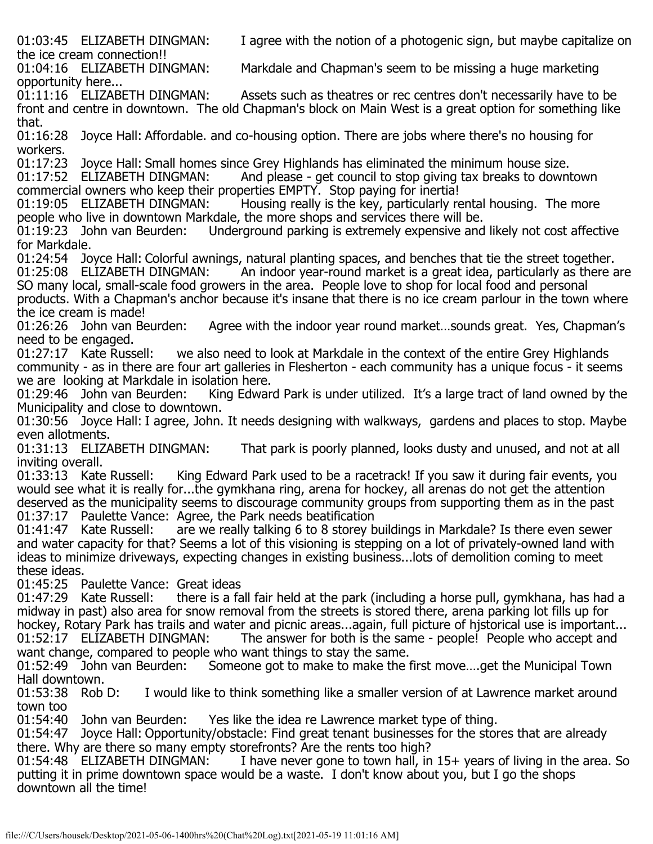01:03:45 ELIZABETH DINGMAN: I agree with the notion of a photogenic sign, but maybe capitalize on

the ice cream connection!!<br>01:04:16 ELIZABETH DINGMAN: Markdale and Chapman's seem to be missing a huge marketing

opportunity here...<br>01:11:16 ELIZABETH DINGMAN: Assets such as theatres or rec centres don't necessarily have to be front and centre in downtown. The old Chapman's block on Main West is a great option for something like that.

01:16:28 Joyce Hall: Affordable. and co-housing option. There are jobs where there's no housing for workers.

01:17:23 Joyce Hall: Small homes since Grey Highlands has eliminated the minimum house size.<br>01:17:52 ELIZABETH DINGMAN: And please - get council to stop giving tax breaks to downt

And please - get council to stop giving tax breaks to downtown commercial owners who keep their properties EMPTY. Stop paying for inertia!<br>01:19:05 ELIZABETH DINGMAN: Housing really is the key, particularly re

Housing really is the key, particularly rental housing. The more people who live in downtown Markdale, the more shops and services there will be.<br>01:19:23 John van Beurden: Underground parking is extremely expensive and

Underground parking is extremely expensive and likely not cost affective for Markdale.

01:24:54 Joyce Hall: Colorful awnings, natural planting spaces, and benches that tie the street together.<br>01:25:08 ELIZABETH DINGMAN: An indoor vear-round market is a great idea, particularly as there a

An indoor year-round market is a great idea, particularly as there are SO many local, small-scale food growers in the area. People love to shop for local food and personal products. With a Chapman's anchor because it's insane that there is no ice cream parlour in the town where

the ice cream is made!<br>01:26:26 John van Beurden: Agree with the indoor year round market...sounds great. Yes, Chapman's

need to be engaged.<br>01:27:17 Kate Russell: we also need to look at Markdale in the context of the entire Grey Highlands community - as in there are four art galleries in Flesherton - each community has a unique focus - it seems we are looking at Markdale in isolation here.<br>01:29:46 John van Beurden: King Edwar

King Edward Park is under utilized. It's a large tract of land owned by the Municipality and close to downtown.

01:30:56 Joyce Hall: I agree, John. It needs designing with walkways, gardens and places to stop. Maybe even allotments.<br>01:31:13 ELIZABETH DINGMAN:

That park is poorly planned, looks dusty and unused, and not at all inviting overall.<br>01:33:13 Kate Russell:

King Edward Park used to be a racetrack! If you saw it during fair events, you would see what it is really for...the gymkhana ring, arena for hockey, all arenas do not get the attention deserved as the municipality seems to discourage community groups from supporting them as in the past

01:37:17 Paulette Vance: Agree, the Park needs beatification<br>01:41:47 Kate Russell: are we really talking 6 to 8 storey b are we really talking 6 to 8 storey buildings in Markdale? Is there even sewer and water capacity for that? Seems a lot of this visioning is stepping on a lot of privately-owned land with ideas to minimize driveways, expecting changes in existing business...lots of demolition coming to meet these ideas.

01:45:25 Paulette Vance: Great ideas<br>01:47:29 Kate Russell: there is a fa

there is a fall fair held at the park (including a horse pull, gymkhana, has had a midway in past) also area for snow removal from the streets is stored there, arena parking lot fills up for hockey, Rotary Park has trails and water and picnic areas...again, full picture of hjstorical use is important...<br>01:52:17 ELIZABETH DINGMAN: The answer for both is the same - people! People who accept and The answer for both is the same - people! People who accept and want change, compared to people who want things to stay the same.<br>01:52:49 John van Beurden: Someone got to make to make the f

Someone got to make to make the first move....get the Municipal Town Hall downtown.<br>01:53:38 Rob D:

I would like to think something like a smaller version of at Lawrence market around town too<br>01:54:40 John van Beurden:

Yes like the idea re Lawrence market type of thing.

01:54:47 Joyce Hall: Opportunity/obstacle: Find great tenant businesses for the stores that are already there. Why are there so many empty storefronts? Are the rents too high?<br>01:54:48 ELIZABETH DINGMAN: I have never gone to town hall, in

I have never gone to town hall, in  $15+$  years of living in the area. So putting it in prime downtown space would be a waste. I don't know about you, but I go the shops downtown all the time!